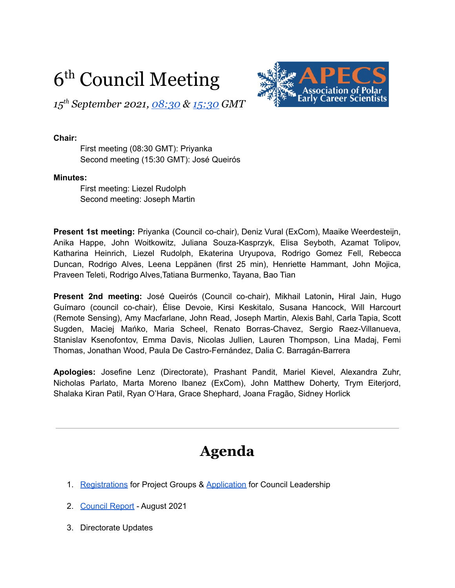# 6<sup>th</sup> Council Meeting

*15 th September 2021, [08:30](https://us02web.zoom.us/j/87135887012?pwd=S1U4NWNBamhTWFVHSmJxS21HcDduQT09) & [15:30](https://us02web.zoom.us/j/85186713905?pwd=Y1YwOXNhdTR6Qy9tY282eThpeGZMZz09) GMT*

#### **Chair:**

First meeting (08:30 GMT): Priyanka Second meeting (15:30 GMT): José Queirós

#### **Minutes:**

First meeting: Liezel Rudolph Second meeting: Joseph Martin

**Present 1st meeting:** Priyanka (Council co-chair), Deniz Vural (ExCom), Maaike Weerdesteijn, Anika Happe, John Woitkowitz, Juliana Souza-Kasprzyk, Elisa Seyboth, Azamat Tolipov, Katharina Heinrich, Liezel Rudolph, Ekaterina Uryupova, Rodrigo Gomez Fell, Rebecca Duncan, Rodrigo Alves, Leena Leppänen (first 25 min), Henriette Hammant, John Mojica, Praveen Teleti, Rodrigo Alves,Tatiana Burmenko, Tayana, Bao Tian

**Present 2nd meeting:** José Queirós (Council co-chair), Mikhail Latonin**,** Hiral Jain, Hugo Guímaro (council co-chair), Élise Devoie, Kirsi Keskitalo, Susana Hancock, Will Harcourt (Remote Sensing), Amy Macfarlane, John Read, Joseph Martin, Alexis Bahl, Carla Tapia, Scott Sugden, Maciej Mańko, Maria Scheel, Renato Borras-Chavez, Sergio Raez-Villanueva, Stanislav Ksenofontov, Emma Davis, Nicolas Jullien, Lauren Thompson, Lina Madaj, Femi Thomas, Jonathan Wood, Paula De Castro-Fernández, Dalia C. Barragán-Barrera

**Apologies:** Josefine Lenz (Directorate), Prashant Pandit, Mariel Kievel, Alexandra Zuhr, Nicholas Parlato, Marta Moreno Ibanez (ExCom), John Matthew Doherty, Trym Eiterjord, Shalaka Kiran Patil, Ryan O'Hara, Grace Shephard, Joana Fragão, Sidney Horlick

# **Agenda**

- 1. [Registrations](https://www.apecs.is/news/apecs-news/4710-sign-up-for-apecs-project-groups-2021-2022.html) for Project Groups & [Application](https://www.apecs.is/who-we-are/leadership/council/apply-for-council.html) for Council Leadership
- 2. [Council](https://docs.google.com/document/d/1-HMjULfUxBGxnTFTNa4Z87wlRTU9F1VNg7orV_CPPog/edit?usp=sharing) Report August 2021
- 3. Directorate Updates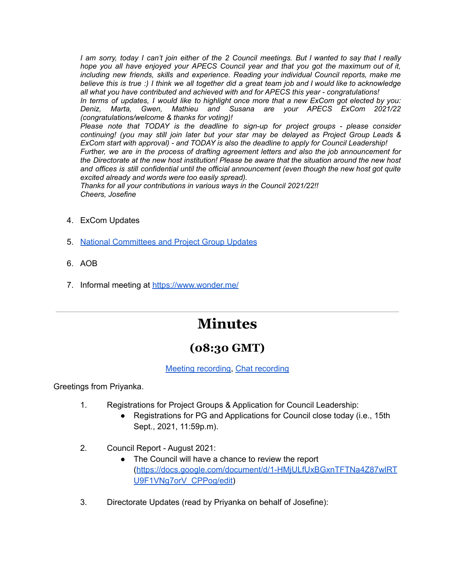I am sorry, today I can't join either of the 2 Council meetings. But I wanted to say that I really *hope you all have enjoyed your APECS Council year and that you got the maximum out of it, including new friends, skills and experience. Reading your individual Council reports, make me* believe this is true :) I think we all together did a great team job and I would like to acknowledge *all what you have contributed and achieved with and for APECS this year - congratulations!*

In terms of updates, I would like to highlight once more that a new ExCom got elected by you: *Deniz, Marta, Gwen, Mathieu and Susana are your APECS ExCom 2021/22 (congratulations/welcome & thanks for voting)!*

*Please note that TODAY is the deadline to sign-up for project groups - please consider continuing! (you may still join later but your star may be delayed as Project Group Leads & ExCom start with approval) - and TODAY is also the deadline to apply for Council Leadership!*

*Further, we are in the process of drafting agreement letters and also the job announcement for the Directorate at the new host institution! Please be aware that the situation around the new host and offices is still confidential until the official announcement (even though the new host got quite excited already and words were too easily spread).*

*Thanks for all your contributions in various ways in the Council 2021/22!! Cheers, Josefine*

- 4. ExCom Updates
- 5. National [Committees](https://docs.google.com/document/d/1L3Y8pzbKzQARkfHhHMlyY3X5J14LlqXlOjWd7OxkO6w/edit#) and Project Group Updates
- 6. AOB
- 7. Informal meeting at <https://www.wonder.me/>

# **Minutes**

### **(08:30 GMT)**

#### Meeting [recording,](https://drive.google.com/file/d/1Px4Gg8BQ1TDhOynZK_cbQmgg7A_UTgHp/view?usp=sharing) Chat [recording](https://drive.google.com/file/d/1RpwhBYPJhZd3tD97fKbyXECL4gdJ7PdH/view?usp=sharing)

Greetings from Priyanka.

- 1. Registrations for Project Groups & Application for Council Leadership:
	- Registrations for PG and Applications for Council close today (i.e., 15th Sept., 2021, 11:59p.m).
- 2. Council Report August 2021:
	- The Council will have a chance to review the report ([https://docs.google.com/document/d/1-HMjULfUxBGxnTFTNa4Z87wlRT](https://docs.google.com/document/d/1-HMjULfUxBGxnTFTNa4Z87wlRTU9F1VNg7orV_CPPog/edit) [U9F1VNg7orV\\_CPPog/edit](https://docs.google.com/document/d/1-HMjULfUxBGxnTFTNa4Z87wlRTU9F1VNg7orV_CPPog/edit))
- 3. Directorate Updates (read by Priyanka on behalf of Josefine):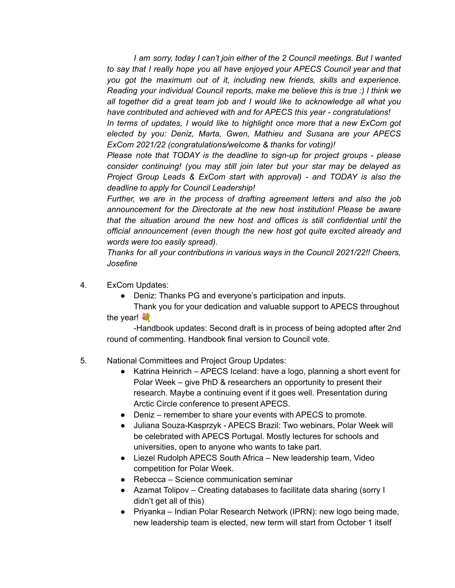*I am sorry, today I can't join either of the 2 Council meetings. But I wanted to say that I really hope you all have enjoyed your APECS Council year and that you got the maximum out of it, including new friends, skills and experience. Reading your individual Council reports, make me believe this is true :) I think we all together did a great team job and I would like to acknowledge all what you have contributed and achieved with and for APECS this year - congratulations!*

*In terms of updates, I would like to highlight once more that a new ExCom got elected by you: Deniz, Marta, Gwen, Mathieu and Susana are your APECS ExCom 2021/22 (congratulations/welcome & thanks for voting)!*

*Please note that TODAY is the deadline to sign-up for project groups - please consider continuing! (you may still join later but your star may be delayed as Project Group Leads & ExCom start with approval) - and TODAY is also the deadline to apply for Council Leadership!*

*Further, we are in the process of drafting agreement letters and also the job announcement for the Directorate at the new host institution! Please be aware that the situation around the new host and offices is still confidential until the official announcement (even though the new host got quite excited already and words were too easily spread).*

*Thanks for all your contributions in various ways in the Council 2021/22!! Cheers, Josefine*

- 4. ExCom Updates:
	- Deniz: Thanks PG and everyone's participation and inputs.

Thank you for your dedication and valuable support to APECS throughout the year!

-Handbook updates: Second draft is in process of being adopted after 2nd round of commenting. Handbook final version to Council vote.

#### 5. National Committees and Project Group Updates:

- Katrina Heinrich APECS Iceland: have a logo, planning a short event for Polar Week – give PhD & researchers an opportunity to present their research. Maybe a continuing event if it goes well. Presentation during Arctic Circle conference to present APECS.
- Deniz remember to share your events with APECS to promote.
- Juliana Souza-Kasprzyk APECS Brazil: Two webinars, Polar Week will be celebrated with APECS Portugal. Mostly lectures for schools and universities, open to anyone who wants to take part.
- Liezel Rudolph APECS South Africa New leadership team, Video competition for Polar Week.
- Rebecca Science communication seminar
- Azamat Tolipov Creating databases to facilitate data sharing (sorry I didn't get all of this)
- Priyanka Indian Polar Research Network (IPRN): new logo being made, new leadership team is elected, new term will start from October 1 itself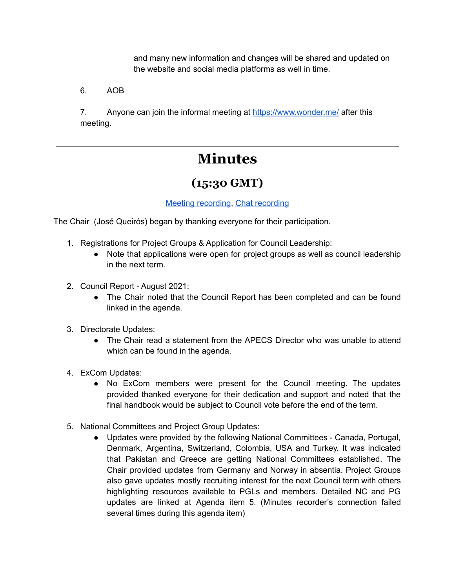and many new information and changes will be shared and updated on the website and social media platforms as well in time.

6. AOB

7. Anyone can join the informal meeting at <https://www.wonder.me/> after this meeting.

# **Minutes**

### **(15:30 GMT)**

#### Meeting [recording,](https://drive.google.com/file/d/1HqxY7y54DLT268rclGeE-qFW1vq-PFEY/view?usp=sharing) Chat [recording](https://drive.google.com/file/d/1zgAnjbxYJXewq1hgEA-RKYq1QsdIIqsU/view?usp=sharing)

The Chair (José Queirós) began by thanking everyone for their participation.

- 1. Registrations for Project Groups & Application for Council Leadership:
	- Note that applications were open for project groups as well as council leadership in the next term.
- 2. Council Report August 2021:
	- The Chair noted that the Council Report has been completed and can be found linked in the agenda.
- 3. Directorate Updates:
	- The Chair read a statement from the APECS Director who was unable to attend which can be found in the agenda.
- 4. ExCom Updates:
	- No ExCom members were present for the Council meeting. The updates provided thanked everyone for their dedication and support and noted that the final handbook would be subject to Council vote before the end of the term.
- 5. National Committees and Project Group Updates:
	- Updates were provided by the following National Committees Canada, Portugal, Denmark, Argentina, Switzerland, Colombia, USA and Turkey. It was indicated that Pakistan and Greece are getting National Committees established. The Chair provided updates from Germany and Norway in absentia. Project Groups also gave updates mostly recruiting interest for the next Council term with others highlighting resources available to PGLs and members. Detailed NC and PG updates are linked at Agenda item 5. (Minutes recorder's connection failed several times during this agenda item)